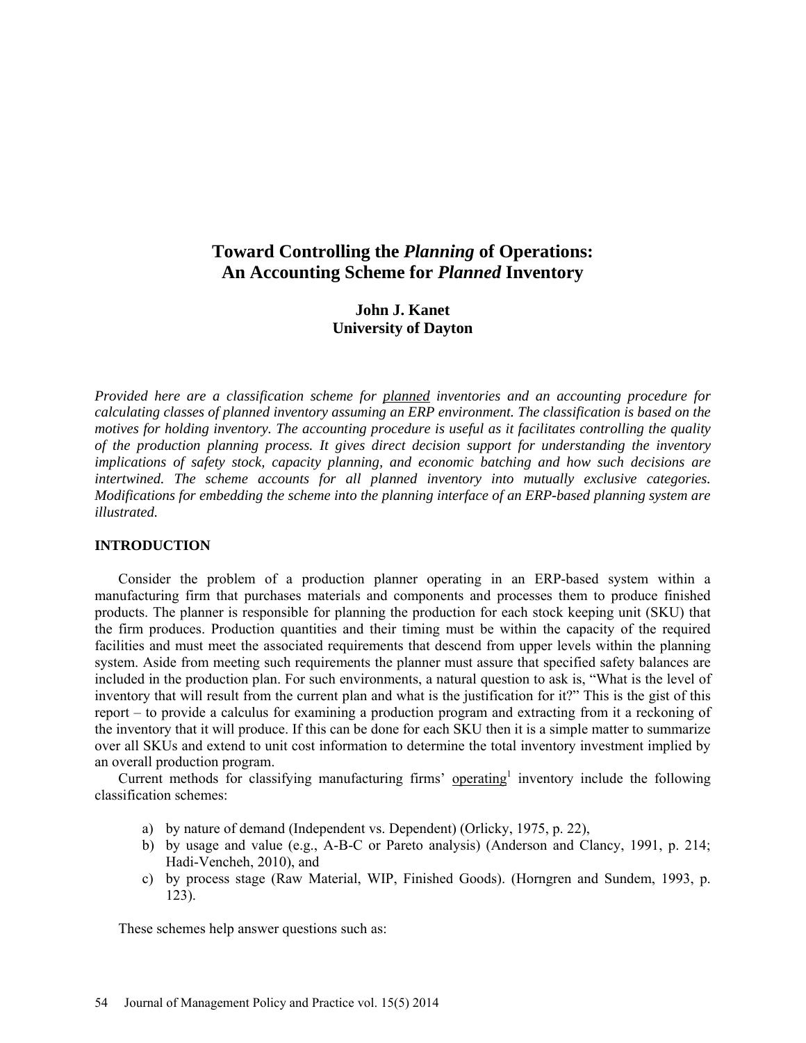# **Toward Controlling the** *Planning* **of Operations: An Accounting Scheme for** *Planned* **Inventory**

# **John J. Kanet University of Dayton**

*Provided here are a classification scheme for planned inventories and an accounting procedure for calculating classes of planned inventory assuming an ERP environment. The classification is based on the motives for holding inventory. The accounting procedure is useful as it facilitates controlling the quality of the production planning process. It gives direct decision support for understanding the inventory implications of safety stock, capacity planning, and economic batching and how such decisions are intertwined. The scheme accounts for all planned inventory into mutually exclusive categories. Modifications for embedding the scheme into the planning interface of an ERP-based planning system are illustrated.*

# **INTRODUCTION**

Consider the problem of a production planner operating in an ERP-based system within a manufacturing firm that purchases materials and components and processes them to produce finished products. The planner is responsible for planning the production for each stock keeping unit (SKU) that the firm produces. Production quantities and their timing must be within the capacity of the required facilities and must meet the associated requirements that descend from upper levels within the planning system. Aside from meeting such requirements the planner must assure that specified safety balances are included in the production plan. For such environments, a natural question to ask is, "What is the level of inventory that will result from the current plan and what is the justification for it?" This is the gist of this report – to provide a calculus for examining a production program and extracting from it a reckoning of the inventory that it will produce. If this can be done for each SKU then it is a simple matter to summarize over all SKUs and extend to unit cost information to determine the total inventory investment implied by an overall production program.

Current methods for classifying manufacturing firms' operating<sup>1</sup> inventory include the following classification schemes:

- a) by nature of demand (Independent vs. Dependent) (Orlicky, 1975, p. 22),
- b) by usage and value (e.g., A-B-C or Pareto analysis) (Anderson and Clancy, 1991, p. 214; Hadi-Vencheh, 2010), and
- c) by process stage (Raw Material, WIP, Finished Goods). (Horngren and Sundem, 1993, p. 123).

These schemes help answer questions such as: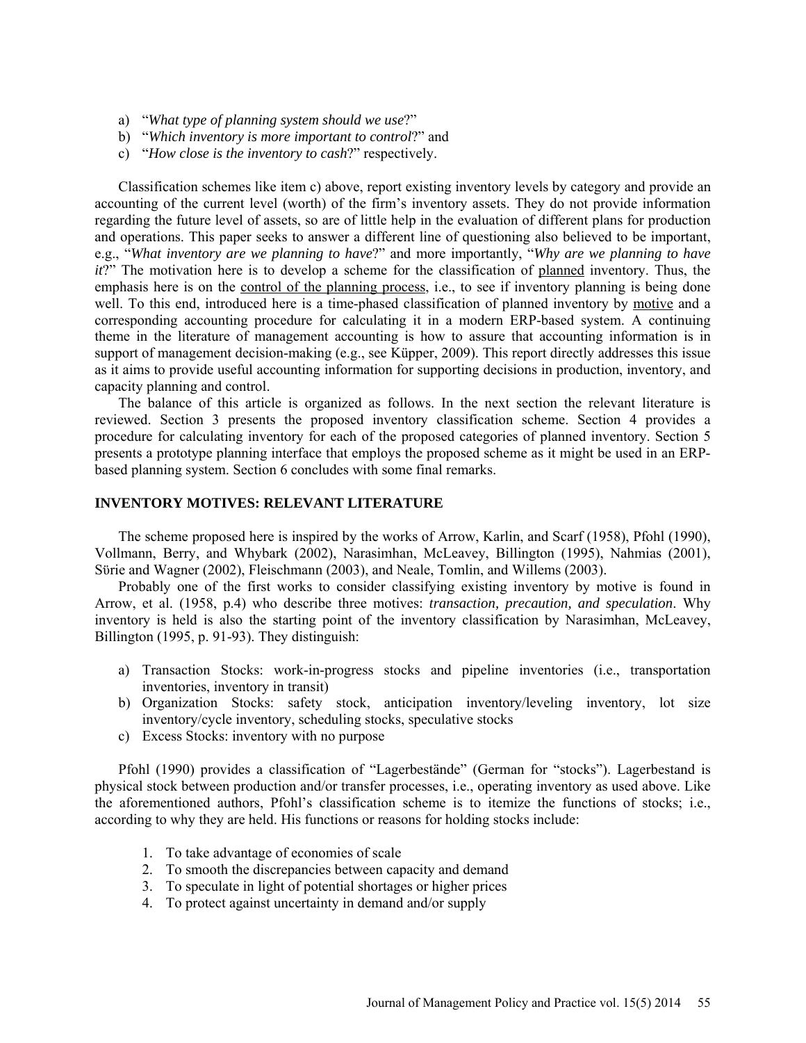- a) "*What type of planning system should we use*?"
- b) "*Which inventory is more important to control*?" and
- c) "*How close is the inventory to cash*?" respectively.

Classification schemes like item c) above, report existing inventory levels by category and provide an accounting of the current level (worth) of the firm's inventory assets. They do not provide information regarding the future level of assets, so are of little help in the evaluation of different plans for production and operations. This paper seeks to answer a different line of questioning also believed to be important, e.g., "*What inventory are we planning to have*?" and more importantly, "*Why are we planning to have it*?" The motivation here is to develop a scheme for the classification of planned inventory. Thus, the emphasis here is on the control of the planning process, i.e., to see if inventory planning is being done well. To this end, introduced here is a time-phased classification of planned inventory by motive and a corresponding accounting procedure for calculating it in a modern ERP-based system. A continuing theme in the literature of management accounting is how to assure that accounting information is in support of management decision-making (e.g., see Küpper, 2009). This report directly addresses this issue as it aims to provide useful accounting information for supporting decisions in production, inventory, and capacity planning and control.

The balance of this article is organized as follows. In the next section the relevant literature is reviewed. Section 3 presents the proposed inventory classification scheme. Section 4 provides a procedure for calculating inventory for each of the proposed categories of planned inventory. Section 5 presents a prototype planning interface that employs the proposed scheme as it might be used in an ERPbased planning system. Section 6 concludes with some final remarks.

# **INVENTORY MOTIVES: RELEVANT LITERATURE**

The scheme proposed here is inspired by the works of Arrow, Karlin, and Scarf (1958), Pfohl (1990), Vollmann, Berry, and Whybark (2002), Narasimhan, McLeavey, Billington (1995), Nahmias (2001), Sϋrie and Wagner (2002), Fleischmann (2003), and Neale, Tomlin, and Willems (2003).

Probably one of the first works to consider classifying existing inventory by motive is found in Arrow, et al. (1958, p.4) who describe three motives: *transaction, precaution, and speculation*. Why inventory is held is also the starting point of the inventory classification by Narasimhan, McLeavey, Billington (1995, p. 91-93). They distinguish:

- a) Transaction Stocks: work-in-progress stocks and pipeline inventories (i.e., transportation inventories, inventory in transit)
- b) Organization Stocks: safety stock, anticipation inventory/leveling inventory, lot size inventory/cycle inventory, scheduling stocks, speculative stocks
- c) Excess Stocks: inventory with no purpose

Pfohl (1990) provides a classification of "Lagerbestände" (German for "stocks"). Lagerbestand is physical stock between production and/or transfer processes, i.e., operating inventory as used above. Like the aforementioned authors, Pfohl's classification scheme is to itemize the functions of stocks; i.e., according to why they are held. His functions or reasons for holding stocks include:

- 1. To take advantage of economies of scale
- 2. To smooth the discrepancies between capacity and demand
- 3. To speculate in light of potential shortages or higher prices
- 4. To protect against uncertainty in demand and/or supply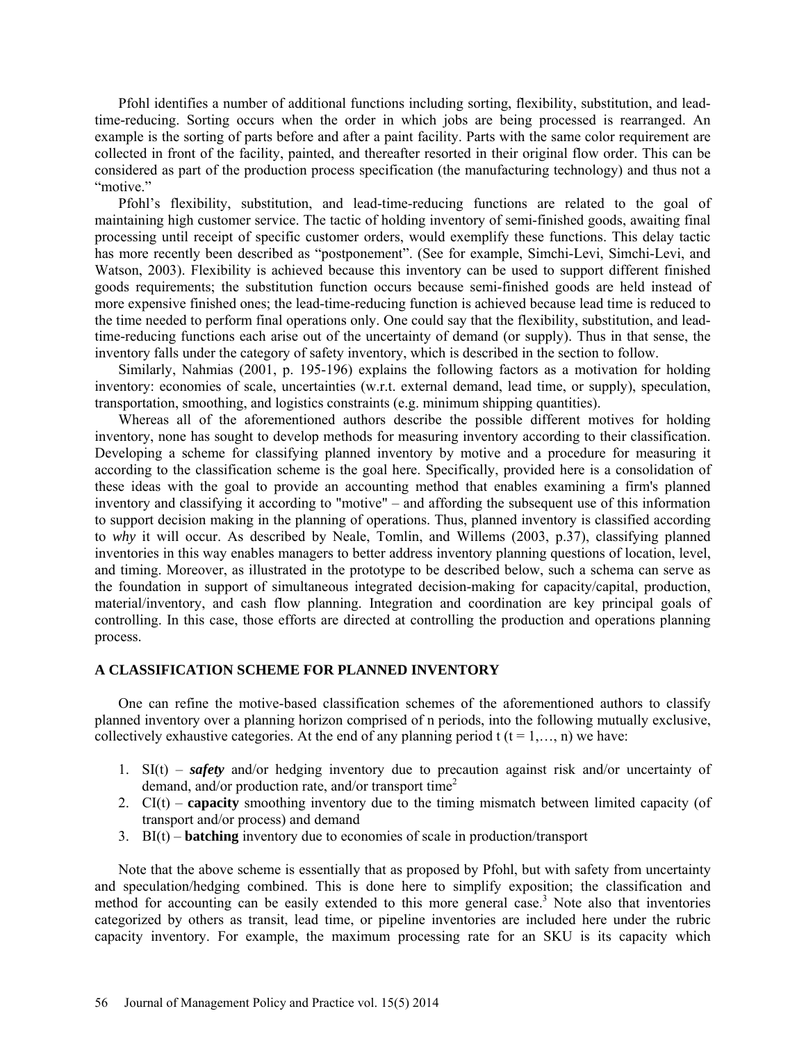Pfohl identifies a number of additional functions including sorting, flexibility, substitution, and leadtime-reducing. Sorting occurs when the order in which jobs are being processed is rearranged. An example is the sorting of parts before and after a paint facility. Parts with the same color requirement are collected in front of the facility, painted, and thereafter resorted in their original flow order. This can be considered as part of the production process specification (the manufacturing technology) and thus not a "motive."

Pfohl's flexibility, substitution, and lead-time-reducing functions are related to the goal of maintaining high customer service. The tactic of holding inventory of semi-finished goods, awaiting final processing until receipt of specific customer orders, would exemplify these functions. This delay tactic has more recently been described as "postponement". (See for example, Simchi-Levi, Simchi-Levi, and Watson, 2003). Flexibility is achieved because this inventory can be used to support different finished goods requirements; the substitution function occurs because semi-finished goods are held instead of more expensive finished ones; the lead-time-reducing function is achieved because lead time is reduced to the time needed to perform final operations only. One could say that the flexibility, substitution, and leadtime-reducing functions each arise out of the uncertainty of demand (or supply). Thus in that sense, the inventory falls under the category of safety inventory, which is described in the section to follow.

Similarly, Nahmias (2001, p. 195-196) explains the following factors as a motivation for holding inventory: economies of scale, uncertainties (w.r.t. external demand, lead time, or supply), speculation, transportation, smoothing, and logistics constraints (e.g. minimum shipping quantities).

Whereas all of the aforementioned authors describe the possible different motives for holding inventory, none has sought to develop methods for measuring inventory according to their classification. Developing a scheme for classifying planned inventory by motive and a procedure for measuring it according to the classification scheme is the goal here. Specifically, provided here is a consolidation of these ideas with the goal to provide an accounting method that enables examining a firm's planned inventory and classifying it according to "motive" – and affording the subsequent use of this information to support decision making in the planning of operations. Thus, planned inventory is classified according to *why* it will occur. As described by Neale, Tomlin, and Willems (2003, p.37), classifying planned inventories in this way enables managers to better address inventory planning questions of location, level, and timing. Moreover, as illustrated in the prototype to be described below, such a schema can serve as the foundation in support of simultaneous integrated decision-making for capacity/capital, production, material/inventory, and cash flow planning. Integration and coordination are key principal goals of controlling. In this case, those efforts are directed at controlling the production and operations planning process.

# **A CLASSIFICATION SCHEME FOR PLANNED INVENTORY**

One can refine the motive-based classification schemes of the aforementioned authors to classify planned inventory over a planning horizon comprised of n periods, into the following mutually exclusive, collectively exhaustive categories. At the end of any planning period  $t$  ( $t = 1, \ldots, n$ ) we have:

- 1. SI(t) *safety* and/or hedging inventory due to precaution against risk and/or uncertainty of demand, and/or production rate, and/or transport time<sup>2</sup>
- 2. CI(t) **capacity** smoothing inventory due to the timing mismatch between limited capacity (of transport and/or process) and demand
- 3. BI(t) **batching** inventory due to economies of scale in production/transport

Note that the above scheme is essentially that as proposed by Pfohl, but with safety from uncertainty and speculation/hedging combined. This is done here to simplify exposition; the classification and method for accounting can be easily extended to this more general case.<sup>3</sup> Note also that inventories categorized by others as transit, lead time, or pipeline inventories are included here under the rubric capacity inventory. For example, the maximum processing rate for an SKU is its capacity which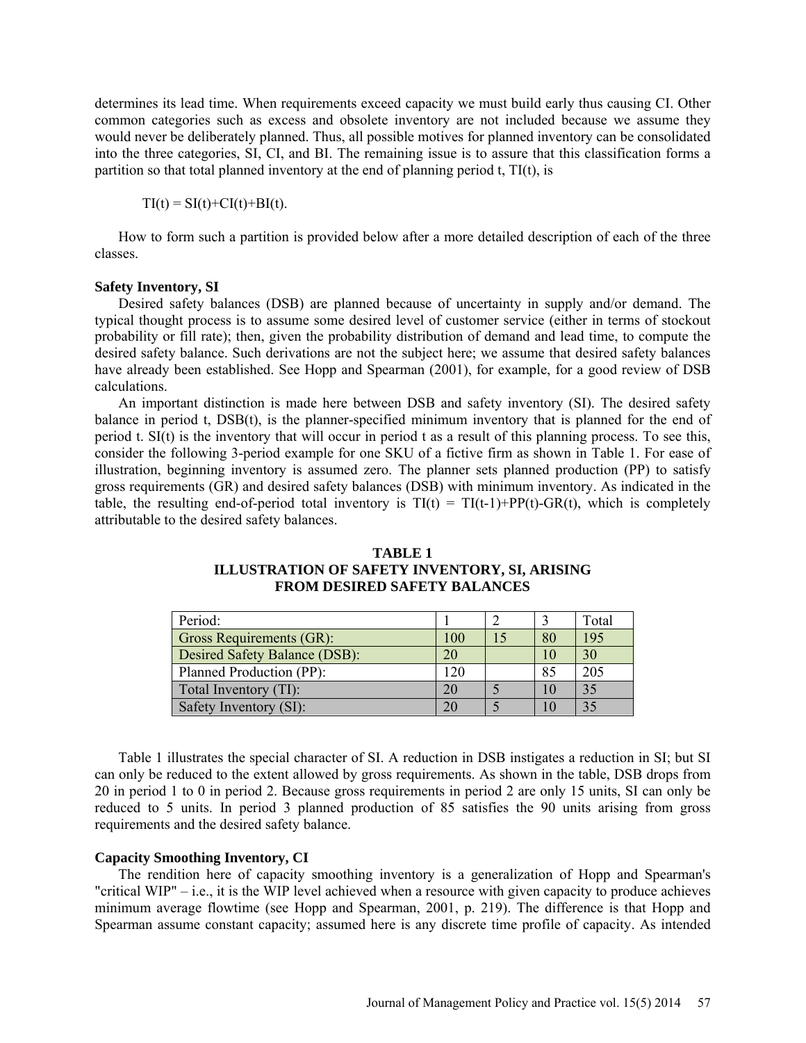determines its lead time. When requirements exceed capacity we must build early thus causing CI. Other common categories such as excess and obsolete inventory are not included because we assume they would never be deliberately planned. Thus, all possible motives for planned inventory can be consolidated into the three categories, SI, CI, and BI. The remaining issue is to assure that this classification forms a partition so that total planned inventory at the end of planning period t, TI(t), is

 $TI(t) = SI(t)+CI(t)+BI(t).$ 

How to form such a partition is provided below after a more detailed description of each of the three classes.

#### **Safety Inventory, SI**

Desired safety balances (DSB) are planned because of uncertainty in supply and/or demand. The typical thought process is to assume some desired level of customer service (either in terms of stockout probability or fill rate); then, given the probability distribution of demand and lead time, to compute the desired safety balance. Such derivations are not the subject here; we assume that desired safety balances have already been established. See Hopp and Spearman (2001), for example, for a good review of DSB calculations.

An important distinction is made here between DSB and safety inventory (SI). The desired safety balance in period t, DSB(t), is the planner-specified minimum inventory that is planned for the end of period t. SI(t) is the inventory that will occur in period t as a result of this planning process. To see this, consider the following 3-period example for one SKU of a fictive firm as shown in Table 1. For ease of illustration, beginning inventory is assumed zero. The planner sets planned production (PP) to satisfy gross requirements (GR) and desired safety balances (DSB) with minimum inventory. As indicated in the table, the resulting end-of-period total inventory is  $TI(t) = TI(t-1)+PP(t)$ -GR(t), which is completely attributable to the desired safety balances.

| Period:                       |     |                 | Total |
|-------------------------------|-----|-----------------|-------|
| Gross Requirements (GR):      | 100 | 80              | 195   |
| Desired Safety Balance (DSB): | 20  | 10              | 30    |
| Planned Production (PP):      | 120 | 85              | 205   |
| Total Inventory (TI):         | 20  | 10              | 35    |
| Safety Inventory (SI):        |     | 10 <sup>1</sup> |       |

# **TABLE 1 ILLUSTRATION OF SAFETY INVENTORY, SI, ARISING FROM DESIRED SAFETY BALANCES**

Table 1 illustrates the special character of SI. A reduction in DSB instigates a reduction in SI; but SI can only be reduced to the extent allowed by gross requirements. As shown in the table, DSB drops from 20 in period 1 to 0 in period 2. Because gross requirements in period 2 are only 15 units, SI can only be reduced to 5 units. In period 3 planned production of 85 satisfies the 90 units arising from gross requirements and the desired safety balance.

### **Capacity Smoothing Inventory, CI**

The rendition here of capacity smoothing inventory is a generalization of Hopp and Spearman's "critical WIP" – i.e., it is the WIP level achieved when a resource with given capacity to produce achieves minimum average flowtime (see Hopp and Spearman, 2001, p. 219). The difference is that Hopp and Spearman assume constant capacity; assumed here is any discrete time profile of capacity. As intended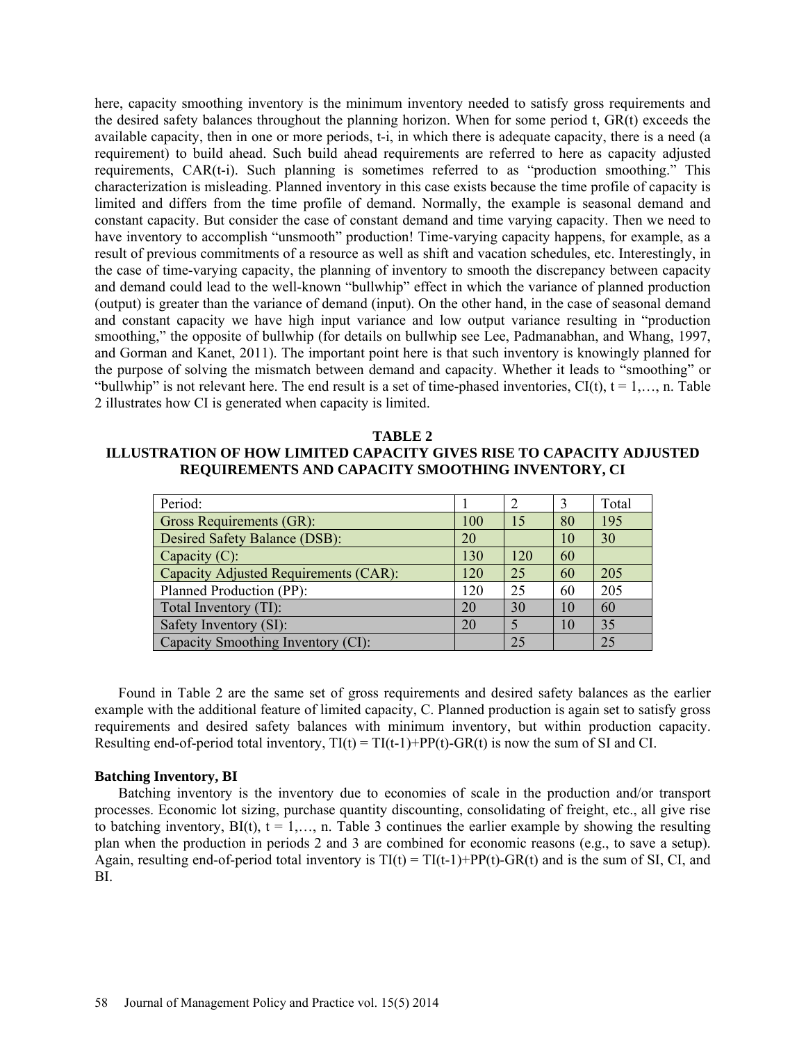here, capacity smoothing inventory is the minimum inventory needed to satisfy gross requirements and the desired safety balances throughout the planning horizon. When for some period t, GR(t) exceeds the available capacity, then in one or more periods, t-i, in which there is adequate capacity, there is a need (a requirement) to build ahead. Such build ahead requirements are referred to here as capacity adjusted requirements, CAR(t-i). Such planning is sometimes referred to as "production smoothing." This characterization is misleading. Planned inventory in this case exists because the time profile of capacity is limited and differs from the time profile of demand. Normally, the example is seasonal demand and constant capacity. But consider the case of constant demand and time varying capacity. Then we need to have inventory to accomplish "unsmooth" production! Time-varying capacity happens, for example, as a result of previous commitments of a resource as well as shift and vacation schedules, etc. Interestingly, in the case of time-varying capacity, the planning of inventory to smooth the discrepancy between capacity and demand could lead to the well-known "bullwhip" effect in which the variance of planned production (output) is greater than the variance of demand (input). On the other hand, in the case of seasonal demand and constant capacity we have high input variance and low output variance resulting in "production smoothing," the opposite of bullwhip (for details on bullwhip see Lee, Padmanabhan, and Whang, 1997, and Gorman and Kanet, 2011). The important point here is that such inventory is knowingly planned for the purpose of solving the mismatch between demand and capacity. Whether it leads to "smoothing" or "bullwhip" is not relevant here. The end result is a set of time-phased inventories,  $CI(t)$ ,  $t = 1,..., n$ . Table 2 illustrates how CI is generated when capacity is limited.

#### **TABLE 2**

# **ILLUSTRATION OF HOW LIMITED CAPACITY GIVES RISE TO CAPACITY ADJUSTED REQUIREMENTS AND CAPACITY SMOOTHING INVENTORY, CI**

| Period:                               |     |     |    | Total |
|---------------------------------------|-----|-----|----|-------|
| <b>Gross Requirements (GR):</b>       | 100 | 15  | 80 | 195   |
| Desired Safety Balance (DSB):         | 20  |     | 10 | 30    |
| Capacity $(C)$ :                      | 130 | 120 | 60 |       |
| Capacity Adjusted Requirements (CAR): | 120 | 25  | 60 | 205   |
| Planned Production (PP):              | 120 | 25  | 60 | 205   |
| Total Inventory (TI):                 | 20  | 30  | 10 | 60    |
| Safety Inventory (SI):                | 20  | 5   | 10 | 35    |
| Capacity Smoothing Inventory (CI):    |     | 25  |    | 25    |

Found in Table 2 are the same set of gross requirements and desired safety balances as the earlier example with the additional feature of limited capacity, C. Planned production is again set to satisfy gross requirements and desired safety balances with minimum inventory, but within production capacity. Resulting end-of-period total inventory,  $TI(t) = TI(t-1)+PP(t) - GR(t)$  is now the sum of SI and CI.

#### **Batching Inventory, BI**

Batching inventory is the inventory due to economies of scale in the production and/or transport processes. Economic lot sizing, purchase quantity discounting, consolidating of freight, etc., all give rise to batching inventory,  $BI(t)$ ,  $t = 1,..., n$ . Table 3 continues the earlier example by showing the resulting plan when the production in periods 2 and 3 are combined for economic reasons (e.g., to save a setup). Again, resulting end-of-period total inventory is  $TI(t) = TI(t-1)+PP(t)-GR(t)$  and is the sum of SI, CI, and BI.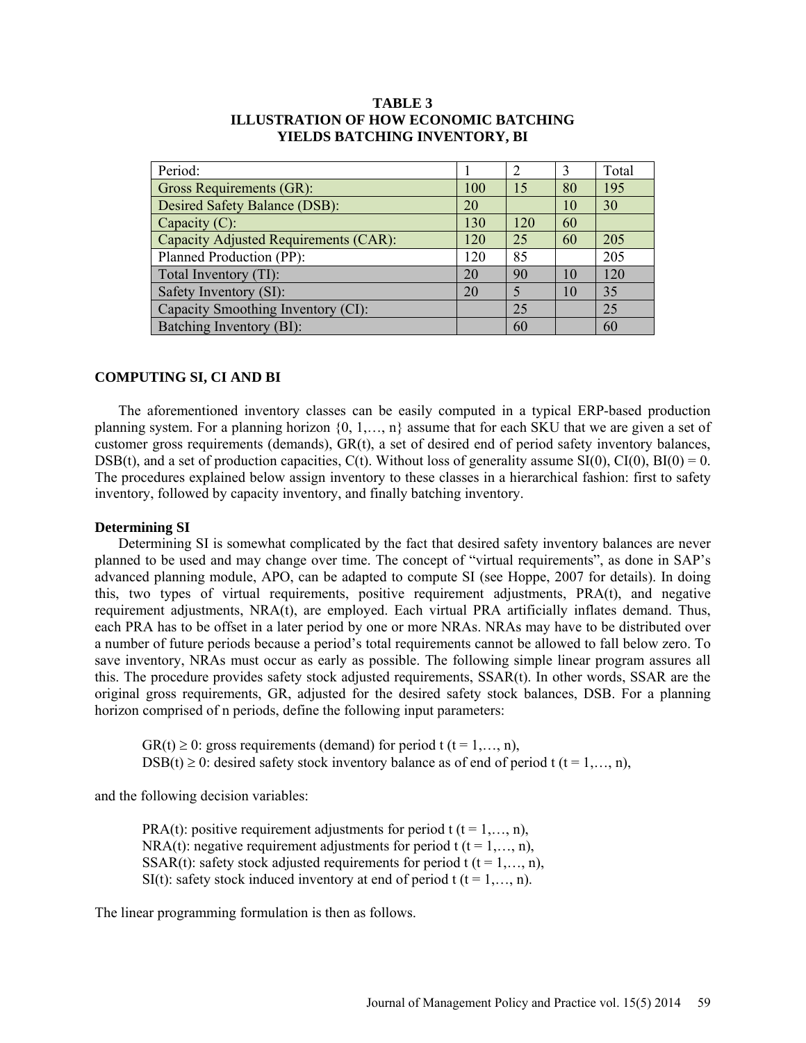| Period:                               |     | 2                        | 3  | Total |
|---------------------------------------|-----|--------------------------|----|-------|
| Gross Requirements (GR):              | 100 | 15                       | 80 | 195   |
| Desired Safety Balance (DSB):         | 20  |                          | 10 | 30    |
| Capacity $(C)$ :                      | 130 | 120                      | 60 |       |
| Capacity Adjusted Requirements (CAR): | 120 | 25                       | 60 | 205   |
| Planned Production (PP):              | 120 | 85                       |    | 205   |
| Total Inventory (TI):                 | 20  | 90                       | 10 | 120   |
| Safety Inventory (SI):                | 20  | $\overline{\mathcal{L}}$ | 10 | 35    |
| Capacity Smoothing Inventory (CI):    |     | 25                       |    | 25    |
| Batching Inventory (BI):              |     | 60                       |    | 60    |

# **TABLE 3 ILLUSTRATION OF HOW ECONOMIC BATCHING YIELDS BATCHING INVENTORY, BI**

# **COMPUTING SI, CI AND BI**

The aforementioned inventory classes can be easily computed in a typical ERP-based production planning system. For a planning horizon {0, 1,…, n} assume that for each SKU that we are given a set of customer gross requirements (demands), GR(t), a set of desired end of period safety inventory balances, DSB(t), and a set of production capacities,  $C(t)$ . Without loss of generality assume SI(0),  $CI(0)$ ,  $BI(0) = 0$ . The procedures explained below assign inventory to these classes in a hierarchical fashion: first to safety inventory, followed by capacity inventory, and finally batching inventory.

# **Determining SI**

Determining SI is somewhat complicated by the fact that desired safety inventory balances are never planned to be used and may change over time. The concept of "virtual requirements", as done in SAP's advanced planning module, APO, can be adapted to compute SI (see Hoppe, 2007 for details). In doing this, two types of virtual requirements, positive requirement adjustments, PRA(t), and negative requirement adjustments, NRA(t), are employed. Each virtual PRA artificially inflates demand. Thus, each PRA has to be offset in a later period by one or more NRAs. NRAs may have to be distributed over a number of future periods because a period's total requirements cannot be allowed to fall below zero. To save inventory, NRAs must occur as early as possible. The following simple linear program assures all this. The procedure provides safety stock adjusted requirements, SSAR(t). In other words, SSAR are the original gross requirements, GR, adjusted for the desired safety stock balances, DSB. For a planning horizon comprised of n periods, define the following input parameters:

 $GR(t) \ge 0$ : gross requirements (demand) for period t (t = 1,..., n), DSB(t)  $\geq$  0: desired safety stock inventory balance as of end of period t (t = 1,..., n),

and the following decision variables:

PRA(t): positive requirement adjustments for period t  $(t = 1, \ldots, n)$ , NRA(t): negative requirement adjustments for period t ( $t = 1, \ldots, n$ ), SSAR(t): safety stock adjusted requirements for period t ( $t = 1, \ldots, n$ ), SI(t): safety stock induced inventory at end of period t ( $t = 1, \ldots, n$ ).

The linear programming formulation is then as follows.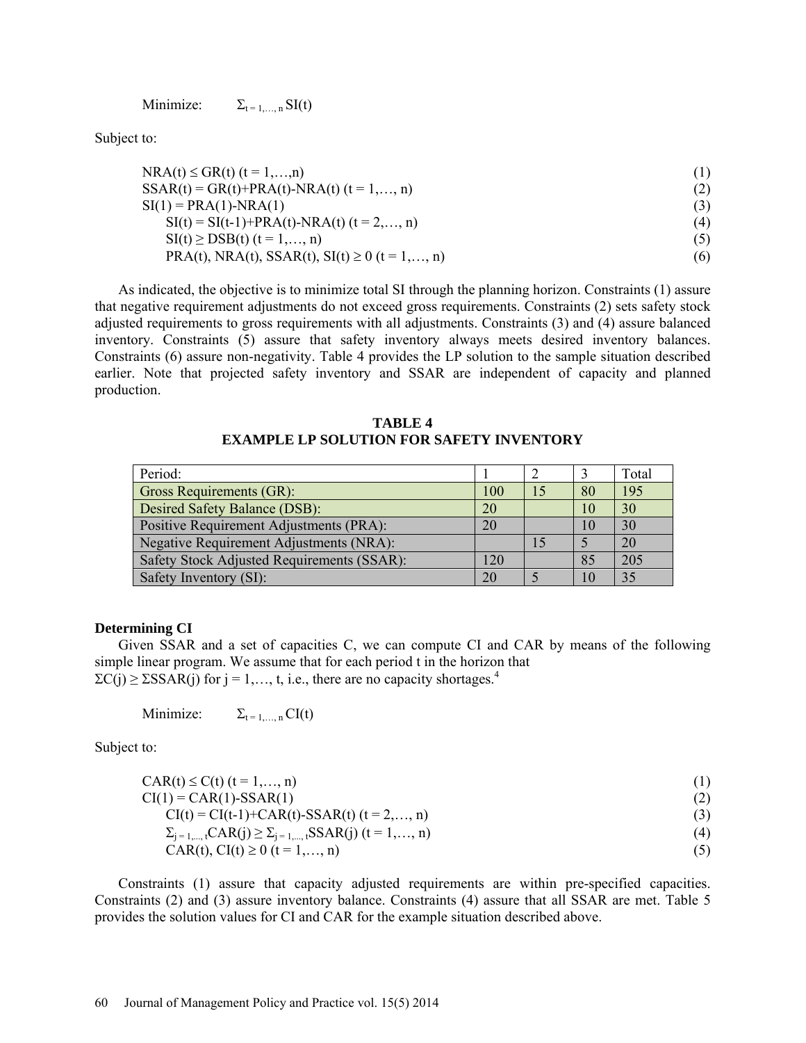Minimize:  $\Sigma_{t=1,\dots,n}$  SI(t)

Subject to:

| $NRA(t) \leq GR(t)$ (t = 1,,n)                      |     |
|-----------------------------------------------------|-----|
| $SSAR(t) = GR(t)+PRA(t)-NRA(t)$ $(t = 1,, n)$       |     |
| $SI(1) = PRA(1) - NRA(1)$                           |     |
| $SI(t) = SI(t-1) + PRA(t) - NRA(t)$ $(t = 2,, n)$   | (4) |
| $SI(t) \geq DSB(t)$ $(t = 1,, n)$                   |     |
| PRA(t), NRA(t), SSAR(t), SI(t) $\geq 0$ (t = 1,, n) | (6) |

As indicated, the objective is to minimize total SI through the planning horizon. Constraints (1) assure that negative requirement adjustments do not exceed gross requirements. Constraints (2) sets safety stock adjusted requirements to gross requirements with all adjustments. Constraints (3) and (4) assure balanced inventory. Constraints (5) assure that safety inventory always meets desired inventory balances. Constraints (6) assure non-negativity. Table 4 provides the LP solution to the sample situation described earlier. Note that projected safety inventory and SSAR are independent of capacity and planned production.

**TABLE 4 EXAMPLE LP SOLUTION FOR SAFETY INVENTORY**

| Period:                                    |     |    |     | Total |
|--------------------------------------------|-----|----|-----|-------|
| Gross Requirements (GR):                   | 100 | 15 | -80 | 195   |
| Desired Safety Balance (DSB):              | 20  |    | 10  | 30    |
| Positive Requirement Adjustments (PRA):    | 20  |    | 10  | 30    |
| Negative Requirement Adjustments (NRA):    |     | 15 |     | 20    |
| Safety Stock Adjusted Requirements (SSAR): | 120 |    | 85  | 205   |
| Safety Inventory (SI):                     | 20  |    | 10  | 35    |

# **Determining CI**

Given SSAR and a set of capacities C, we can compute CI and CAR by means of the following simple linear program. We assume that for each period t in the horizon that  $\sum C(j) \geq \sum$ SSAR(j) for j = 1,..., t, i.e., there are no capacity shortages.<sup>4</sup>

Minimize:  $\Sigma_{t=1,\dots,n} CI(t)$ 

Subject to:

| $CAR(t) \le C(t)$ $(t = 1,, n)$ |  |
|---------------------------------|--|
| $CI(1) = CAR(1)$ -SSAR(1)       |  |

 $CI(t) = CI(t-1) + CAR(t) - SSAR(t)$  (t = 2, ..., n) (3)

$$
\sum_{j=1,\dots, t} CAR(j) \ge \sum_{j=1,\dots, t} SSAR(j) \ (t = 1, \dots, n)
$$
\n(4)

 $CAR(t), CI(t) \ge 0$  (t = 1,…, n) (5)

Constraints (1) assure that capacity adjusted requirements are within pre-specified capacities. Constraints (2) and (3) assure inventory balance. Constraints (4) assure that all SSAR are met. Table 5 provides the solution values for CI and CAR for the example situation described above.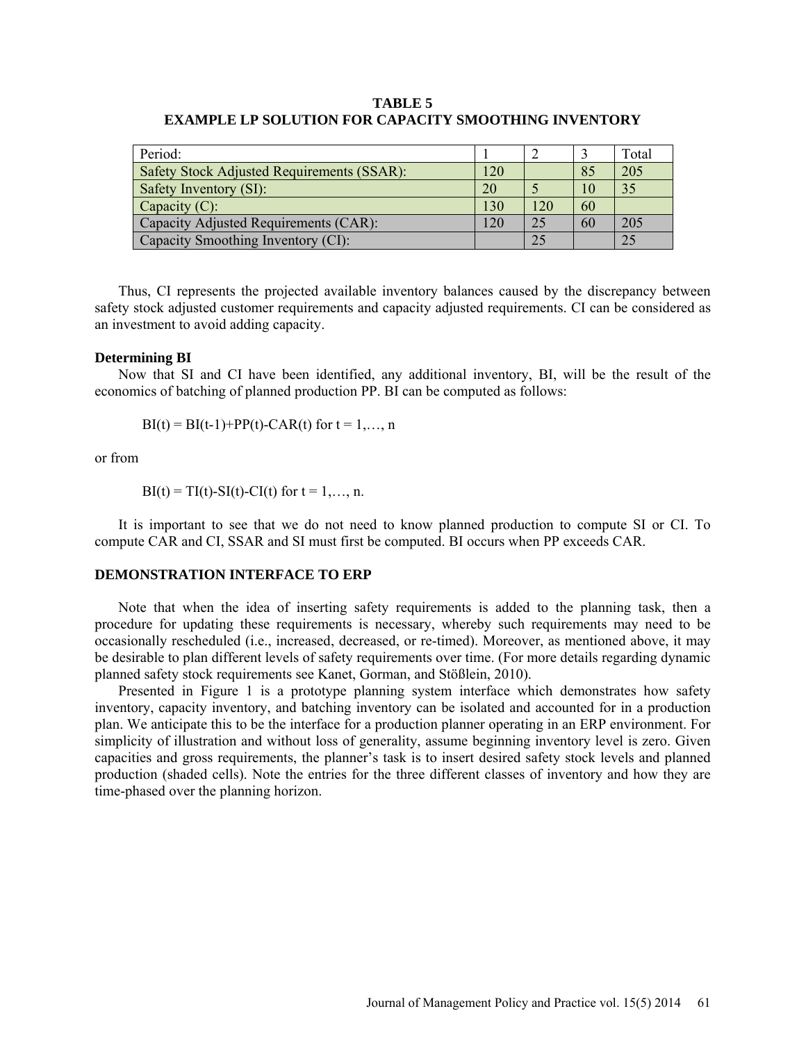# **TABLE 5 EXAMPLE LP SOLUTION FOR CAPACITY SMOOTHING INVENTORY**

| Period:                                    |     |     |    | Total |
|--------------------------------------------|-----|-----|----|-------|
| Safety Stock Adjusted Requirements (SSAR): | 120 |     | 85 | 205   |
| Safety Inventory (SI):                     | 20  |     | 10 | 35    |
| Capacity $(C)$ :                           | 130 | 120 | 60 |       |
| Capacity Adjusted Requirements (CAR):      | 120 | 25  | 60 | 205   |
| Capacity Smoothing Inventory (CI):         |     | 25  |    |       |

Thus, CI represents the projected available inventory balances caused by the discrepancy between safety stock adjusted customer requirements and capacity adjusted requirements. CI can be considered as an investment to avoid adding capacity.

#### **Determining BI**

Now that SI and CI have been identified, any additional inventory, BI, will be the result of the economics of batching of planned production PP. BI can be computed as follows:

 $BI(t) = BI(t-1)+PP(t) - CAR(t)$  for  $t = 1,..., n$ 

or from

 $BI(t) = TI(t) - SI(t) - CI(t)$  for  $t = 1, ..., n$ .

It is important to see that we do not need to know planned production to compute SI or CI. To compute CAR and CI, SSAR and SI must first be computed. BI occurs when PP exceeds CAR.

#### **DEMONSTRATION INTERFACE TO ERP**

Note that when the idea of inserting safety requirements is added to the planning task, then a procedure for updating these requirements is necessary, whereby such requirements may need to be occasionally rescheduled (i.e., increased, decreased, or re-timed). Moreover, as mentioned above, it may be desirable to plan different levels of safety requirements over time. (For more details regarding dynamic planned safety stock requirements see Kanet, Gorman, and Stößlein, 2010).

Presented in Figure 1 is a prototype planning system interface which demonstrates how safety inventory, capacity inventory, and batching inventory can be isolated and accounted for in a production plan. We anticipate this to be the interface for a production planner operating in an ERP environment. For simplicity of illustration and without loss of generality, assume beginning inventory level is zero. Given capacities and gross requirements, the planner's task is to insert desired safety stock levels and planned production (shaded cells). Note the entries for the three different classes of inventory and how they are time-phased over the planning horizon.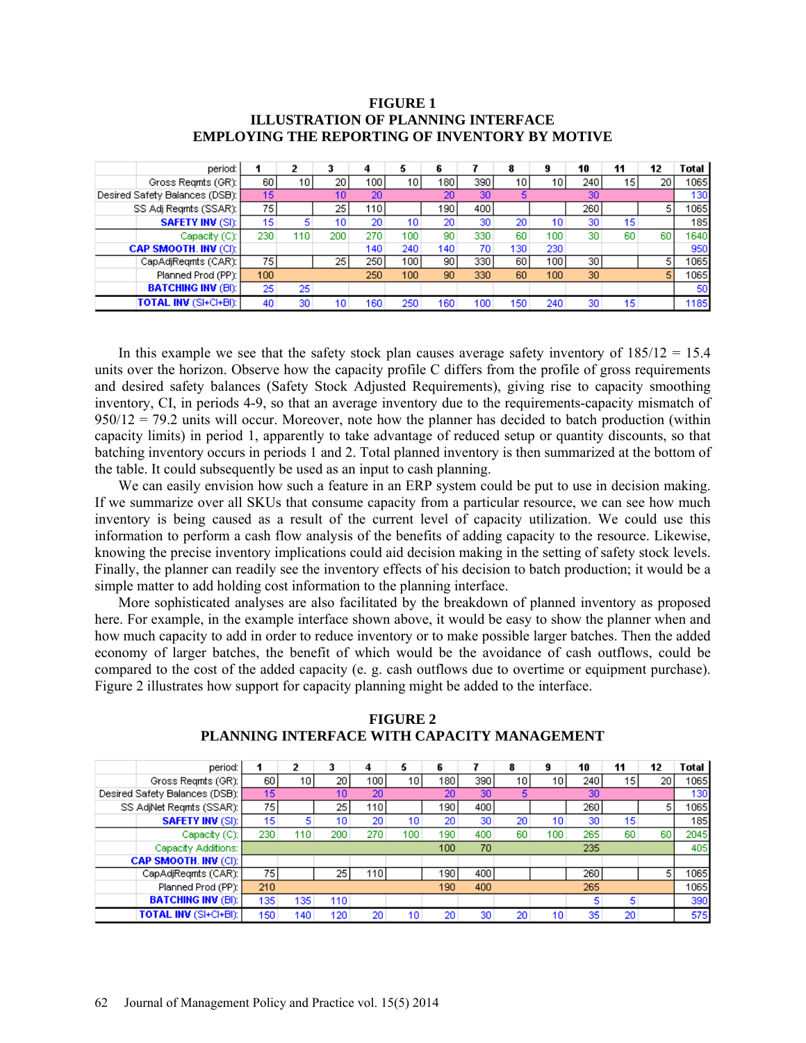## **FIGURE 1 ILLUSTRATION OF PLANNING INTERFACE EMPLOYING THE REPORTING OF INVENTORY BY MOTIVE**

| period:                        |     | 2   | 3   |     | 5   | 6   |     | 8                | 9   | 10  | 11 | 12 | Total |
|--------------------------------|-----|-----|-----|-----|-----|-----|-----|------------------|-----|-----|----|----|-------|
| Gross Regnts (GR):             | 60  | 10  | 20  | 100 | 10  | 180 | 390 | 10               | 10  | 240 | 15 | 20 | 1065  |
| Desired Safety Balances (DSB): | 15  |     | 10  | 20  |     | 20  | 30  |                  |     | 30  |    |    | 130   |
| SS Adj Regnts (SSAR):          | 751 |     | 25. | 110 |     | 190 | 400 |                  |     | 260 |    |    | 1065  |
| <b>SAFETY INV (SI):</b>        | 15  | 5.  | 10. | 20  | 10  | 20  | 30  | 20               | 10  | 30  | 15 |    | 185   |
| Capacity (C):                  | 230 | 110 | 200 | 270 | 100 | 90  | 330 | 60               | 100 | 30  | 60 | 60 | 1640  |
| <b>CAP SMOOTH. INV (CI):</b>   |     |     |     | 140 | 240 | 140 | 70  | 130              | 230 |     |    |    | 950   |
| CapAdjRegmts (CAR):            | 751 |     | 251 | 250 | 100 | 90  | 330 | 60               | 100 | 30  |    |    | 1065  |
| Planned Prod (PP):             | 100 |     |     | 250 | 100 | 90  | 330 | 60               | 100 | 30  |    |    | 1065  |
| <b>BATCHING INV (BI):</b>      | 25  | 25  |     |     |     |     |     |                  |     |     |    |    | 50    |
| <b>TOTAL INV (SI+CI+BI):</b>   | 40  | 30  | 10  | 160 | 250 | 160 | 100 | 150 <sub>1</sub> | 240 | 30  | 15 |    | 1185  |

In this example we see that the safety stock plan causes average safety inventory of  $185/12 = 15.4$ units over the horizon. Observe how the capacity profile C differs from the profile of gross requirements and desired safety balances (Safety Stock Adjusted Requirements), giving rise to capacity smoothing inventory, CI, in periods 4-9, so that an average inventory due to the requirements-capacity mismatch of  $950/12 = 79.2$  units will occur. Moreover, note how the planner has decided to batch production (within capacity limits) in period 1, apparently to take advantage of reduced setup or quantity discounts, so that batching inventory occurs in periods 1 and 2. Total planned inventory is then summarized at the bottom of the table. It could subsequently be used as an input to cash planning.

We can easily envision how such a feature in an ERP system could be put to use in decision making. If we summarize over all SKUs that consume capacity from a particular resource, we can see how much inventory is being caused as a result of the current level of capacity utilization. We could use this information to perform a cash flow analysis of the benefits of adding capacity to the resource. Likewise, knowing the precise inventory implications could aid decision making in the setting of safety stock levels. Finally, the planner can readily see the inventory effects of his decision to batch production; it would be a simple matter to add holding cost information to the planning interface.

More sophisticated analyses are also facilitated by the breakdown of planned inventory as proposed here. For example, in the example interface shown above, it would be easy to show the planner when and how much capacity to add in order to reduce inventory or to make possible larger batches. Then the added economy of larger batches, the benefit of which would be the avoidance of cash outflows, could be compared to the cost of the added capacity (e. g. cash outflows due to overtime or equipment purchase). Figure 2 illustrates how support for capacity planning might be added to the interface.

| period:                        |                  | 2   |                 | л   | 5   | 6                |      | 8    | 9   | 10  | 11              | 12 | Total |
|--------------------------------|------------------|-----|-----------------|-----|-----|------------------|------|------|-----|-----|-----------------|----|-------|
| Gross Regnts (GR):             | 60               | 10) | 20 I            | 100 | 10  | 180 <sub>1</sub> | 390) | 10 I | 10  | 240 | 15              | 20 | 1065  |
| Desired Safety Balances (DSB): | 15 <sub>15</sub> |     | 10              | 20  |     | 20               | 30   | 5    |     | 30  |                 |    | 130   |
| SS AdjNet Regints (SSAR):      | 75               |     | 25              | 110 |     | 1901             | 400  |      |     | 260 |                 |    | 1065  |
| <b>SAFETY INV (SI):</b>        | 15               | 5.  | 10 <sup>1</sup> | 20  | 10  | 20               | 30   | 20   | 10  | 30  | 15              |    | 185   |
| Capacity (C):                  | 230              | 110 | 200             | 270 | 100 | 190              | 400  | 60   | 100 | 265 | 60              | 60 | 2045  |
| Capacity Additions:            |                  |     |                 |     |     | 100              | 70   |      |     | 235 |                 |    | 405   |
| <b>CAP SMOOTH. INV (CI):</b>   |                  |     |                 |     |     |                  |      |      |     |     |                 |    |       |
| CapAdjRegmts (CAR):            | 75               |     | 251             | 110 |     | 1901             | 400  |      |     | 260 |                 |    | 1065  |
| Planned Prod (PP):             | 210              |     |                 |     |     | 190              | 400  |      |     | 265 |                 |    | 1065  |
| <b>BATCHING INV (BI):</b>      | 135 <sub>1</sub> | 135 | 110             |     |     |                  |      |      |     | 5   | 5.              |    | 390   |
| <b>TOTAL INV (SI+CI+BI):</b>   | 150 <sub>1</sub> | 140 | 120             | 20  | 10  | 20               | 30   | 20   | 10  | 35  | 20 <sub>1</sub> |    | 575   |

**FIGURE 2 PLANNING INTERFACE WITH CAPACITY MANAGEMENT**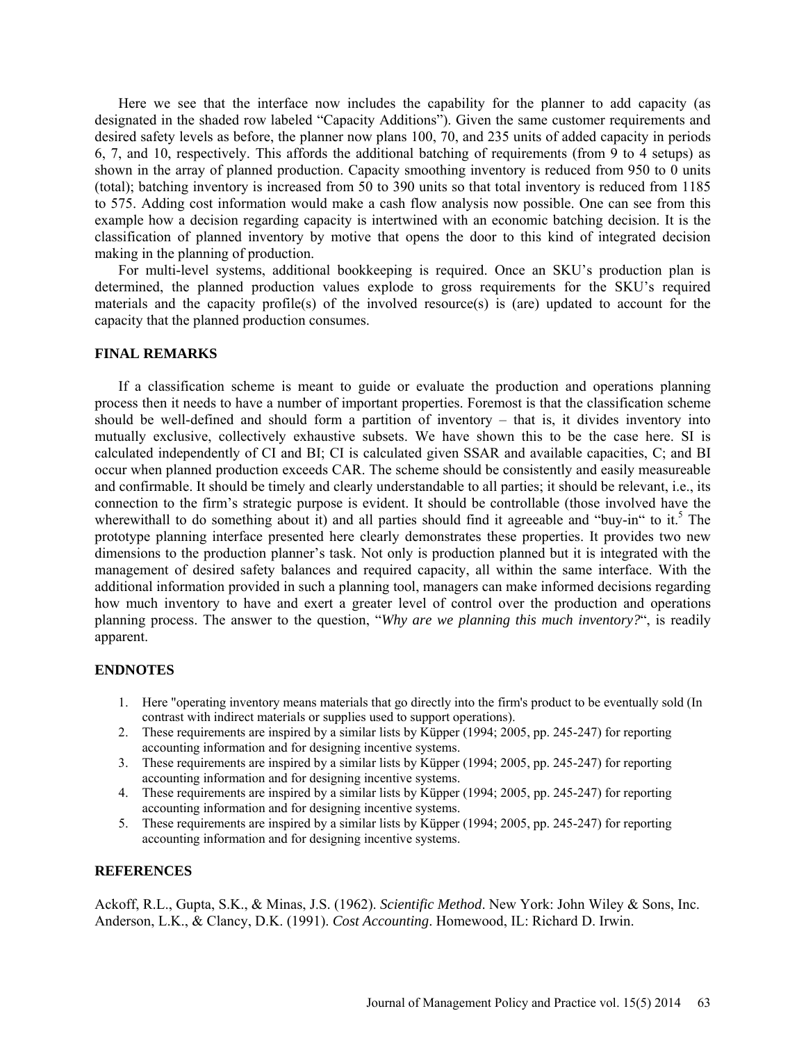Here we see that the interface now includes the capability for the planner to add capacity (as designated in the shaded row labeled "Capacity Additions"). Given the same customer requirements and desired safety levels as before, the planner now plans 100, 70, and 235 units of added capacity in periods 6, 7, and 10, respectively. This affords the additional batching of requirements (from  $\overline{9}$  to 4 setups) as shown in the array of planned production. Capacity smoothing inventory is reduced from 950 to 0 units (total); batching inventory is increased from 50 to 390 units so that total inventory is reduced from 1185 to 575. Adding cost information would make a cash flow analysis now possible. One can see from this example how a decision regarding capacity is intertwined with an economic batching decision. It is the classification of planned inventory by motive that opens the door to this kind of integrated decision making in the planning of production.

For multi-level systems, additional bookkeeping is required. Once an SKU's production plan is determined, the planned production values explode to gross requirements for the SKU's required materials and the capacity profile(s) of the involved resource(s) is (are) updated to account for the capacity that the planned production consumes.

#### **FINAL REMARKS**

If a classification scheme is meant to guide or evaluate the production and operations planning process then it needs to have a number of important properties. Foremost is that the classification scheme should be well-defined and should form a partition of inventory – that is, it divides inventory into mutually exclusive, collectively exhaustive subsets. We have shown this to be the case here. SI is calculated independently of CI and BI; CI is calculated given SSAR and available capacities, C; and BI occur when planned production exceeds CAR. The scheme should be consistently and easily measureable and confirmable. It should be timely and clearly understandable to all parties; it should be relevant, i.e., its connection to the firm's strategic purpose is evident. It should be controllable (those involved have the wherewithall to do something about it) and all parties should find it agreeable and "buy-in" to it.<sup>5</sup> The prototype planning interface presented here clearly demonstrates these properties. It provides two new dimensions to the production planner's task. Not only is production planned but it is integrated with the management of desired safety balances and required capacity, all within the same interface. With the additional information provided in such a planning tool, managers can make informed decisions regarding how much inventory to have and exert a greater level of control over the production and operations planning process. The answer to the question, "*Why are we planning this much inventory?*", is readily apparent.

### **ENDNOTES**

- 1. Here "operating inventory means materials that go directly into the firm's product to be eventually sold (In contrast with indirect materials or supplies used to support operations).
- 2. These requirements are inspired by a similar lists by Küpper (1994; 2005, pp. 245-247) for reporting accounting information and for designing incentive systems.
- 3. These requirements are inspired by a similar lists by Küpper (1994; 2005, pp. 245-247) for reporting accounting information and for designing incentive systems.
- 4. These requirements are inspired by a similar lists by Küpper (1994; 2005, pp. 245-247) for reporting accounting information and for designing incentive systems.
- 5. These requirements are inspired by a similar lists by Küpper (1994; 2005, pp. 245-247) for reporting accounting information and for designing incentive systems.

# **REFERENCES**

Ackoff, R.L., Gupta, S.K., & Minas, J.S. (1962). *Scientific Method*. New York: John Wiley & Sons, Inc. Anderson, L.K., & Clancy, D.K. (1991). *Cost Accounting*. Homewood, IL: Richard D. Irwin.